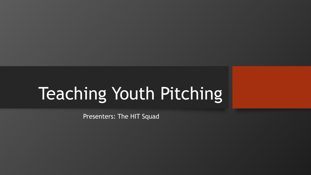# Teaching Youth Pitching

Presenters: The HIT Squad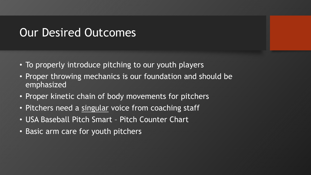#### Our Desired Outcomes

- To properly introduce pitching to our youth players
- Proper throwing mechanics is our foundation and should be emphasized
- Proper kinetic chain of body movements for pitchers
- Pitchers need a singular voice from coaching staff
- USA Baseball Pitch Smart Pitch Counter Chart
- Basic arm care for youth pitchers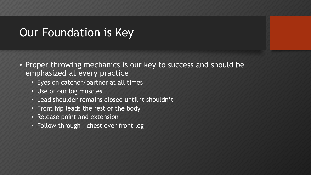### Our Foundation is Key

- Proper throwing mechanics is our key to success and should be emphasized at every practice
	- Eyes on catcher/partner at all times
	- Use of our big muscles
	- Lead shoulder remains closed until it shouldn't
	- Front hip leads the rest of the body
	- Release point and extension
	- Follow through chest over front leg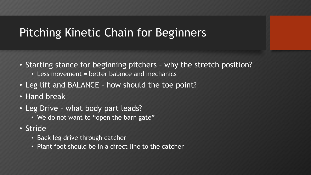# Pitching Kinetic Chain for Beginners

- Starting stance for beginning pitchers why the stretch position?
	- Less movement = better balance and mechanics
- Leg lift and BALANCE how should the toe point?
- Hand break
- Leg Drive what body part leads?
	- We do not want to "open the barn gate"
- Stride
	- Back leg drive through catcher
	- Plant foot should be in a direct line to the catcher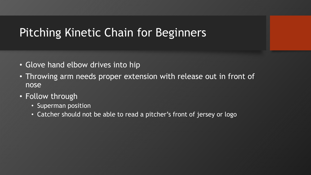# Pitching Kinetic Chain for Beginners

- Glove hand elbow drives into hip
- Throwing arm needs proper extension with release out in front of nose
- Follow through
	- Superman position
	- Catcher should not be able to read a pitcher's front of jersey or logo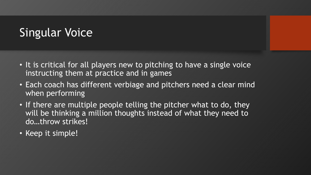# Singular Voice

- It is critical for all players new to pitching to have a single voice instructing them at practice and in games
- Each coach has different verbiage and pitchers need a clear mind when performing
- If there are multiple people telling the pitcher what to do, they will be thinking a million thoughts instead of what they need to do…throw strikes!
- Keep it simple!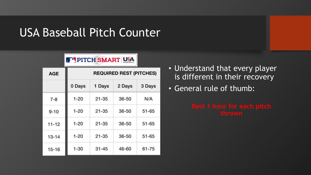## USA Baseball Pitch Counter

#### PITCH SMART USA

| <b>AGE</b> | <b>REQUIRED REST (PITCHES)</b> |           |           |           |
|------------|--------------------------------|-----------|-----------|-----------|
|            | 0 Days                         | 1 Days    | 2 Days    | 3 Days    |
| $7 - 8$    | $1 - 20$                       | $21 - 35$ | 36-50     | N/A       |
| $9 - 10$   | $1 - 20$                       | $21 - 35$ | $36 - 50$ | $51 - 65$ |
| $11 - 12$  | $1 - 20$                       | $21 - 35$ | $36 - 50$ | $51 - 65$ |
| $13 - 14$  | $1 - 20$                       | $21 - 35$ | $36 - 50$ | $51 - 65$ |
| $15 - 16$  | $1 - 30$                       | $31 - 45$ | 46-60     | $61 - 75$ |

- Understand that every player is different in their recovery
- General rule of thumb: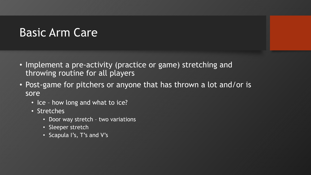# Basic Arm Care

- Implement a pre-activity (practice or game) stretching and throwing routine for all players
- Post-game for pitchers or anyone that has thrown a lot and/or is sore
	- Ice how long and what to ice?
	- Stretches
		- Door way stretch two variations
		- Sleeper stretch
		- Scapula I's, T's and V's